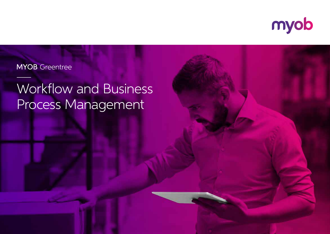

## **MYOB** Greentree

# Workflow and Business Process Management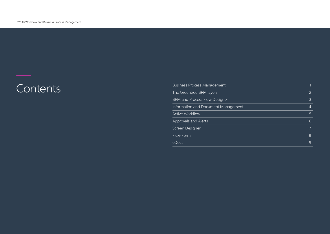# Contents

| <b>Business Process Management</b>   |                |
|--------------------------------------|----------------|
| The Greentree BPM layers             | $\overline{2}$ |
| <b>BPM and Process Flow Designer</b> | $\mathcal{E}$  |
| Information and Document Management  | 4              |
| <b>Active Workflow</b>               | 5              |
| Approvals and Alerts                 | 6              |
| Screen Designer                      |                |
| Flexi-Form                           | 8              |
| eDocs                                | $\mathsf{Q}$   |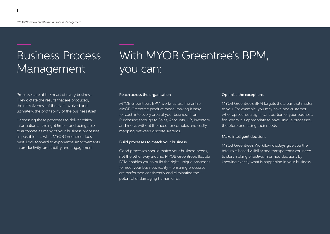1

# Business Process Management

Processes are at the heart of every business. They dictate the results that are produced, the effectiveness of the staff involved and, ultimately, the profitability of the business itself.

Harnessing these processes to deliver critical information at the right time – and being able to automate as many of your business processes as possible – is what MYOB Greentree does best. Look forward to exponential improvements in productivity, profitability and engagement.

## With MYOB Greentree's BPM, you can:

#### Reach across the organisation

MYOB Greentree's BPM works across the entire MYOB Greentree product range, making it easy to reach into every area of your business, from Purchasing through to Sales, Accounts, HR, Inventory and more, without the need for complex and costly mapping between discrete systems.

#### Build processes to match your business

Good processes should match your business needs, not the other way around. MYOB Greentree's flexible BPM enables you to build the right, unique processes to meet your business reality – ensuring processes are performed consistently and eliminating the potential of damaging human error.

#### Optimise the exceptions

MYOB Greentree's BPM targets the areas that matter to you. For example, you may have one customer who represents a significant portion of your business, for whom it is appropriate to have unique processes, therefore prioritising their needs.

#### Make intelligent decisions

MYOB Greentree's Workflow displays give you the total role-based visibility and transparency you need to start making effective, informed decisions by knowing exactly what is happening in your business.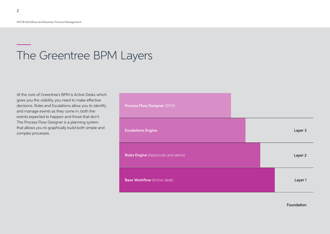## The Greentree BPM Layers

At the core of Greentree's BPM is Active Desks which gives you the visibility you need to make effective decisions. Rules and Escalations allow you to identify and manage events as they come in; both the events expected to happen and those that don't. The Process Flow Designer is a planning system that allows you to graphically build both simple and complex processes.

| <b>Process Flow Designer (BPM)</b>         |  |         |
|--------------------------------------------|--|---------|
| <b>Escalations Engine</b>                  |  | Layer 3 |
| <b>Rules Engine</b> (Approvals and alerts) |  | Layer 2 |
| <b>Base Workflow (Active desk)</b>         |  | Layer 1 |

Foundation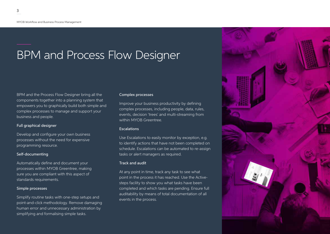# BPM and Process Flow Designer

BPM and the Process Flow Designer bring all the components together into a planning system that empowers you to graphically build both simple and complex processes to manage and support your business and people.

#### Full graphical designer

Develop and configure your own business processes without the need for expensive programming resource.

#### Self-documenting

Automatically define and document your processes within MYOB Greentree, making sure you are compliant with this aspect of standards requirements.

### Simple processes

Simplify routine tasks with one-step setups and point-and-click methodology. Remove damaging human error and unnecessary administration by simplifying and formalising simple tasks.

### Complex processes

Improve your business productivity by defining complex processes, including people, data, rules, events, decision 'trees' and multi-streaming from within MYOB Greentree.

#### **Escalations**

Use Escalations to easily monitor by exception, e.g. to identify actions that have not been completed on schedule. Escalations can be automated to re-assign tasks or alert managers as required.

### Track and audit

At any point in time, track any task to see what point in the process it has reached. Use the Activesteps facility to show you what tasks have been completed and which tasks are pending. Ensure full auditability by means of total documentation of all events in the process.

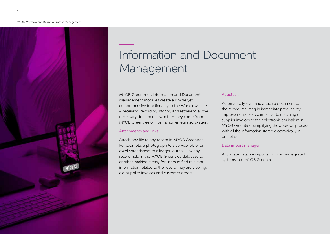#### MYOB Workflow and Business Process Management



## Information and Document Management

MYOB Greentree's Information and Document Management modules create a simple yet comprehensive functionality to the Workflow suite – receiving, recording, storing and retrieving all the necessary documents, whether they come from MYOB Greentree or from a non-integrated system.

#### Attachments and links

Attach any file to any record in MYOB Greentree. For example, a photograph to a service job or an excel spreadsheet to a ledger journal. Link any record held in the MYOB Greentree database to another, making it easy for users to find relevant information related to the record they are viewing, e.g. supplier invoices and customer orders.

### AutoScan

Automatically scan and attach a document to the record, resulting in immediate productivity improvements. For example, auto matching of supplier invoices to their electronic equivalent in MYOB Greentree, simplifying the approval process with all the information stored electronically in one place.

#### Data import manager

Automate data file imports from non-integrated systems into MYOB Greentree.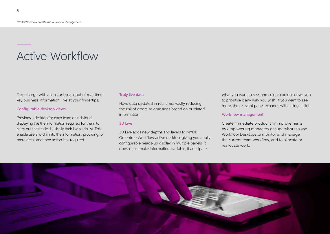## Active Workflow

Take charge with an instant snapshot of real-time key business information, live at your fingertips.

### Configurable desktop views

Provides a desktop for each team or individual displaying live the information required for them to carry out their tasks, basically their live to do list. This enable users to drill into the information, providing for more detail and then action it as required.

### Truly live data

Have data updated in real time, vastly reducing the risk of errors or omissions based on outdated information.

### 3D Live

3D Live adds new depths and layers to MYOB Greentree Workflow active desktop, giving you a fully configurable heads-up display in multiple panels. It doesn't just make information available, it anticipates

what you want to see, and colour coding allows you to prioritise it any way you wish. If you want to see more, the relevant panel expands with a single click.

### Workflow management

Create immediate productivity improvements by empowering managers or supervisors to use Workflow Desktops to monitor and manage the current team workflow, and to allocate or reallocate work.

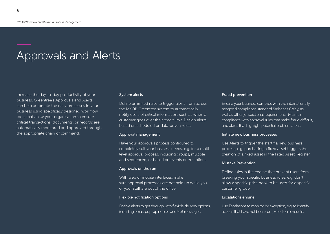## Approvals and Alerts

Increase the day-to-day productivity of your business. Greentree's Approvals and Alerts can help automate the daily processes in your business using specifically designed workflow tools that allow your organisation to ensure critical transactions, documents, or records are automatically monitored and approved through the appropriate chain of command.

#### System alerts

Define unlimited rules to trigger alerts from across the MYOB Greentree system to automatically notify users of critical information, such as when a customer goes over their credit limit. Design alerts based on scheduled or data-driven rules.

#### Approval management

Have your approvals process configured to completely suit your business needs, e.g. for a multilevel approval process, including groups, multiple and sequenced, or based on events or exceptions.

#### Approvals on the run

With web or mobile interfaces, make sure approval processes are not held up while you or your staff are out of the office.

#### Flexible notification options

Enable alerts to get through with flexible delivery options, including email, pop-up notices and text messages.

#### Fraud prevention

Ensure your business complies with the internationally accepted compliance standard Sarbanes Oxley, as well as other jurisdictional requirements. Maintain compliance with approval rules that make fraud difficult, and alerts that highlight potential problem areas.

#### Initiate new business processes

Use Alerts to trigger the start f a new business process, e.g. purchasing a fixed asset triggers the creation of a fixed asset in the Fixed Asset Register.

#### Mistake Prevention

Define rules in the engine that prevent users from breaking your specific business rules. e.g. don't allow a specific price book to be used for a specific customer group.

#### Escalations engine

Use Escalations to monitor by exception, e.g. to identify actions that have not been completed on schedule.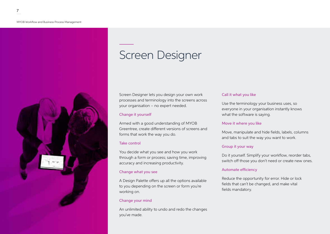

## Screen Designer

Screen Designer lets you design your own work processes and terminology into the screens across your organisation – no expert needed.

### Change it yourself

Armed with a good understanding of MYOB Greentree, create different versions of screens and forms that work the way you do.

### Take control

You decide what you see and how you work through a form or process; saving time, improving accuracy and increasing productivity.

## Change what you see

A Design Palette offers up all the options available to you depending on the screen or form you're working on.

## Change your mind

An unlimited ability to undo and redo the changes you've made.

### Call it what you like

Use the terminology your business uses, so everyone in your organisation instantly knows what the software is saying.

### Move it where you like

Move, manipulate and hide fields, labels, columns and tabs to suit the way you want to work.

## Group it your way

Do it yourself. Simplify your workflow, reorder tabs, switch off those you don't need or create new ones.

### Automate efficiency

Reduce the opportunity for error. Hide or lock fields that can't be changed, and make vital fields mandatory.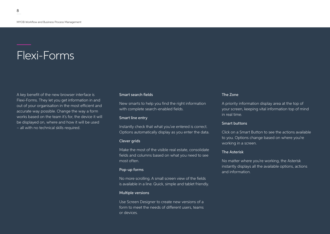## Flexi-Forms

A key benefit of the new browser interface is Flexi-Forms. They let you get information in and out of your organisation in the most efficient and accurate way possible. Change the way a form works based on the team it's for, the device it will be displayed on, where and how it will be used – all with no technical skills required.

#### Smart search fields

New smarts to help you find the right information with complete search-enabled fields.

### Smart line entry

Instantly check that what you've entered is correct. Options automatically display as you enter the data.

#### Clever grids

Make the most of the visible real estate, consolidate fields and columns based on what you need to see most often.

#### Pop-up forms

No more scrolling. A small screen view of the fields is available in a line. Quick, simple and tablet friendly.

#### Multiple versions

Use Screen Designer to create new versions of a form to meet the needs of different users, teams or devices.

#### The Zone

A priority information display area at the top of your screen, keeping vital information top of mind in real time.

#### Smart buttons

Click on a Smart Button to see the actions available to you. Options change based on where you're working in a screen.

#### The Asterisk

No matter where you're working, the Asterisk instantly displays all the available options, actions and information.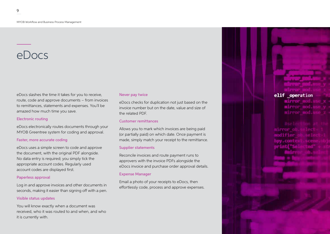## eDocs

eDocs slashes the time it takes for you to receive, route, code and approve documents – from invoices to remittances, statements and expenses. You'll be amazed how much time you save.

#### Electronic routing

eDocs electronically routes documents through your MYOB Greentree system for coding and approval.

#### Faster, more accurate coding

eDocs uses a simple screen to code and approve the document, with the original PDF alongside. No data entry is required; you simply tick the appropriate account codes. Regularly used account codes are displayed first.

#### Paperless approval

Log in and approve invoices and other documents in seconds, making it easier than signing off with a pen.

#### Visible status updates

You will know exactly when a document was received, who it was routed to and when, and who it is currently with.

#### Never pay twice

eDocs checks for duplication not just based on the invoice number but on the date, value and size of the related PDF.

#### Customer remittances

Allows you to mark which invoices are being paid (or partially paid) on which date. Once payment is made, simply match your receipt to the remittance.

#### Supplier statements

Reconcile invoices and route payment runs to approvers with the invoice PDFs alongside the eDocs invoice and purchase order approval details.

#### Expense Manager

Email a photo of your receipts to eDocs, then effortlessly code, process and approve expenses.

## elif operation

mirron mod.

Wirror o